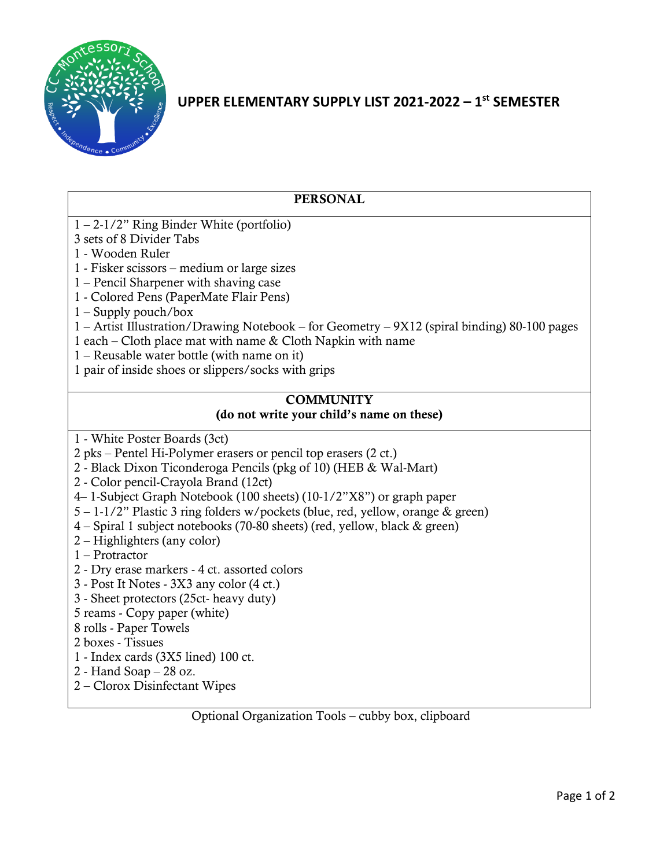

# **UPPER ELEMENTARY SUPPLY LIST 2021-2022 – 1 st SEMESTER**

| <b>PERSONAL</b>                                                                                                                                                                                                                                                                                                                                                                                                                                                                                                                                                                                                                                                                                                                                                                                                                      |
|--------------------------------------------------------------------------------------------------------------------------------------------------------------------------------------------------------------------------------------------------------------------------------------------------------------------------------------------------------------------------------------------------------------------------------------------------------------------------------------------------------------------------------------------------------------------------------------------------------------------------------------------------------------------------------------------------------------------------------------------------------------------------------------------------------------------------------------|
| $1 - 2 - 1/2$ " Ring Binder White (portfolio)<br>3 sets of 8 Divider Tabs<br>1 - Wooden Ruler<br>1 - Fisker scissors – medium or large sizes<br>1 – Pencil Sharpener with shaving case<br>1 - Colored Pens (PaperMate Flair Pens)<br>$1 -$ Supply pouch/box<br>1 – Artist Illustration/Drawing Notebook – for Geometry – 9X12 (spiral binding) 80-100 pages<br>1 each – Cloth place mat with name & Cloth Napkin with name<br>$1 -$ Reusable water bottle (with name on it)<br>1 pair of inside shoes or slippers/socks with grips                                                                                                                                                                                                                                                                                                   |
| <b>COMMUNITY</b><br>(do not write your child's name on these)                                                                                                                                                                                                                                                                                                                                                                                                                                                                                                                                                                                                                                                                                                                                                                        |
| 1 - White Poster Boards (3ct)<br>2 pks – Pentel Hi-Polymer erasers or pencil top erasers (2 ct.)<br>2 - Black Dixon Ticonderoga Pencils (pkg of 10) (HEB & Wal-Mart)<br>2 - Color pencil-Crayola Brand (12ct)<br>4–1-Subject Graph Notebook (100 sheets) (10-1/2"X8") or graph paper<br>5 – 1-1/2" Plastic 3 ring folders w/pockets (blue, red, yellow, orange & green)<br>4 – Spiral 1 subject notebooks (70-80 sheets) (red, yellow, black & green)<br>2 – Highlighters (any color)<br>$1 -$ Protractor<br>2 - Dry erase markers - 4 ct. assorted colors<br>3 - Post It Notes - 3X3 any color (4 ct.)<br>3 - Sheet protectors (25ct- heavy duty)<br>5 reams - Copy paper (white)<br>8 rolls - Paper Towels<br>2 boxes - Tissues<br>1 - Index cards (3X5 lined) 100 ct.<br>2 - Hand Soap $-28$ oz.<br>2 – Clorox Disinfectant Wipes |

Optional Organization Tools – cubby box, clipboard